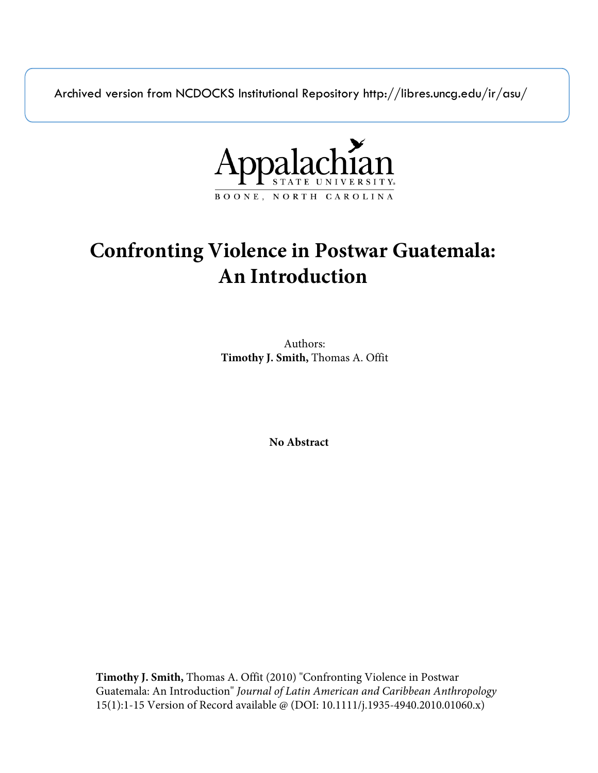Archived version from NCDOCKS Institutional Repository http://libres.uncg.edu/ir/asu/



# **Confronting Violence in Postwar Guatemala: An Introduction**

Authors: **Timothy J. Smith,** Thomas A. Offit

**No Abstract**

**Timothy J. Smith,** Thomas A. Offit (2010) "Confronting Violence in Postwar Guatemala: An Introduction" *Journal of Latin American and Caribbean Anthropology* 15(1):1-15 Version of Record available @ (DOI: 10.1111/j.1935-4940.2010.01060.x)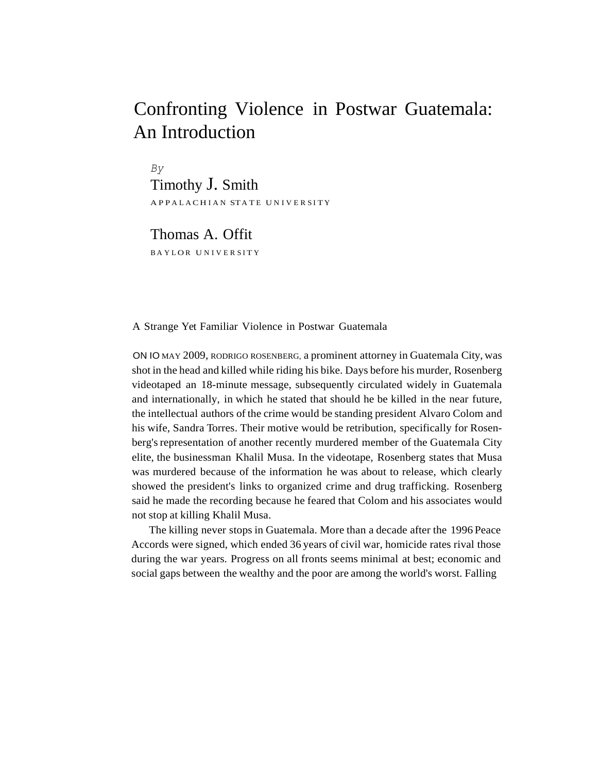# Confronting Violence in Postwar Guatemala: An Introduction

*By* Timothy J. Smith A P P A L A C H I A N ST A T E UN I V E R SI T Y

Thomas A. Offit BAYLOR UNIVERSITY

A Strange Yet Familiar Violence in Postwar Guatemala

ON IO MAY 2009, RODRIGO ROSENBERG, a prominent attorney in Guatemala City, was shot in the head and killed while riding his bike. Days before his murder, Rosenberg videotaped an 18-minute message, subsequently circulated widely in Guatemala and internationally, in which he stated that should he be killed in the near future, the intellectual authors of the crime would be standing president Alvaro Colom and his wife, Sandra Torres. Their motive would be retribution, specifically for Rosenberg's representation of another recently murdered member of the Guatemala City elite, the businessman Khalil Musa. In the videotape, Rosenberg states that Musa was murdered because of the information he was about to release, which clearly showed the president's links to organized crime and drug trafficking. Rosenberg said he made the recording because he feared that Colom and his associates would not stop at killing Khalil Musa.

The killing never stops in Guatemala. More than a decade after the 1996 Peace Accords were signed, which ended 36 years of civil war, homicide rates rival those during the war years. Progress on all fronts seems minimal at best; economic and social gaps between the wealthy and the poor are among the world's worst. Falling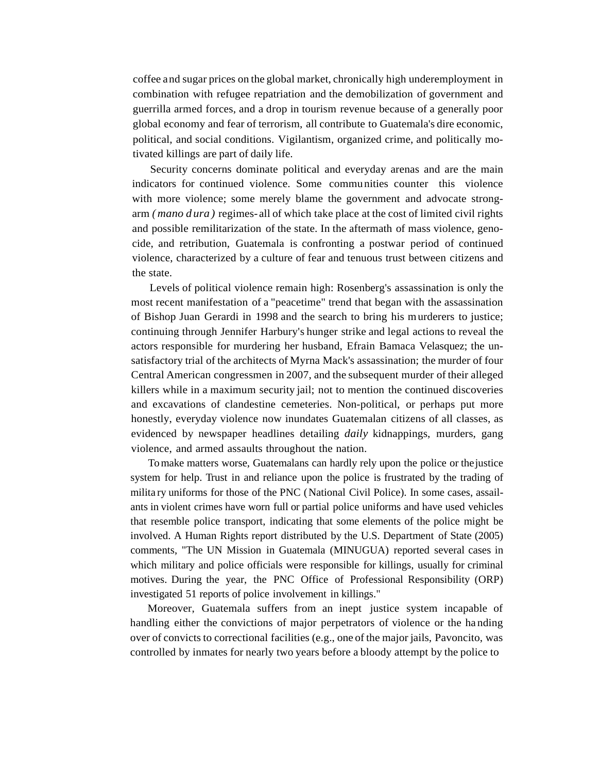coffee and sugar prices on the global market, chronically high underemployment in combination with refugee repatriation and the demobilization of government and guerrilla armed forces, and a drop in tourism revenue because of a generally poor global economy and fear of terrorism, all contribute to Guatemala's dire economic, political, and social conditions. Vigilantism, organized crime, and politically motivated killings are part of daily life.

Security concerns dominate political and everyday arenas and are the main indicators for continued violence. Some communities counter this violence with more violence; some merely blame the government and advocate strongarm *( mano d ura )* regimes- all of which take place at the cost of limited civil rights and possible remilitarization of the state. In the aftermath of mass violence, genocide, and retribution, Guatemala is confronting a postwar period of continued violence, characterized by a culture of fear and tenuous trust between citizens and the state.

Levels of political violence remain high: Rosenberg's assassination is only the most recent manifestation of a "peacetime" trend that began with the assassination of Bishop Juan Gerardi in 1998 and the search to bring his murderers to justice; continuing through Jennifer Harbury's hunger strike and legal actions to reveal the actors responsible for murdering her husband, Efrain Bamaca Velasquez; the unsatisfactory trial of the architects of Myrna Mack's assassination; the murder of four Central American congressmen in 2007, and the subsequent murder of their alleged killers while in a maximum security jail; not to mention the continued discoveries and excavations of clandestine cemeteries. Non-political, or perhaps put more honestly, everyday violence now inundates Guatemalan citizens of all classes, as evidenced by newspaper headlines detailing *daily* kidnappings, murders, gang violence, and armed assaults throughout the nation.

To make matters worse, Guatemalans can hardly rely upon the police or thejustice system for help. Trust in and reliance upon the police is frustrated by the trading of milita ry uniforms for those of the PNC (National Civil Police). In some cases, assailants in violent crimes have worn full or partial police uniforms and have used vehicles that resemble police transport, indicating that some elements of the police might be involved. A Human Rights report distributed by the U.S. Department of State (2005) comments, "The UN Mission in Guatemala (MINUGUA) reported several cases in which military and police officials were responsible for killings, usually for criminal motives. During the year, the PNC Office of Professional Responsibility (ORP) investigated 51 reports of police involvement in killings."

Moreover, Guatemala suffers from an inept justice system incapable of handling either the convictions of major perpetrators of violence or the ha nding over of convicts to correctional facilities (e.g., one of the major jails, Pavoncito, was controlled by inmates for nearly two years before a bloody attempt by the police to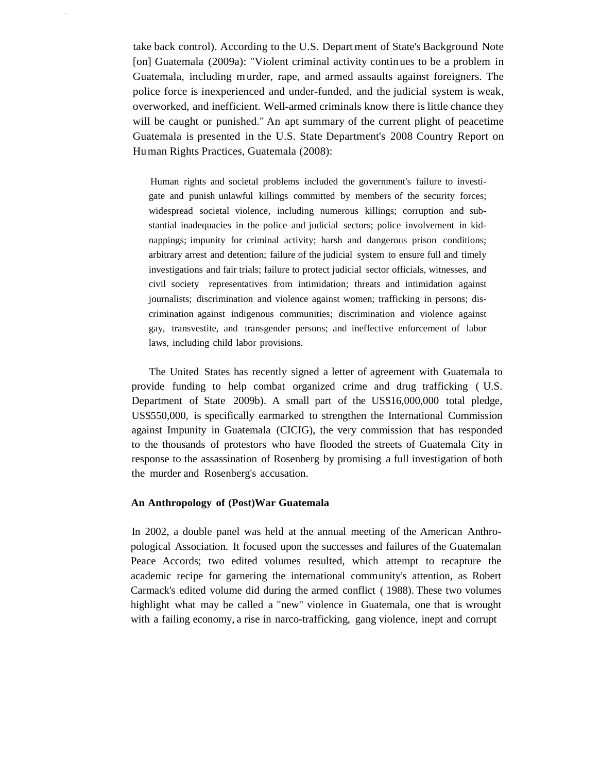take back control). According to the U.S. Department of State's Background Note [on] Guatemala (2009a): "Violent criminal activity continues to be a problem in Guatemala, including murder, rape, and armed assaults against foreigners. The police force is inexperienced and under-funded, and the judicial system is weak, overworked, and inefficient. Well-armed criminals know there is little chance they will be caught or punished." An apt summary of the current plight of peacetime Guatemala is presented in the U.S. State Department's 2008 Country Report on Human Rights Practices, Guatemala (2008):

Human rights and societal problems included the government's failure to investigate and punish unlawful killings committed by members of the security forces; widespread societal violence, including numerous killings; corruption and substantial inadequacies in the police and judicial sectors; police involvement in kidnappings; impunity for criminal activity; harsh and dangerous prison conditions; arbitrary arrest and detention; failure of the judicial system to ensure full and timely investigations and fair trials; failure to protect judicial sector officials, witnesses, and civil society representatives from intimidation; threats and intimidation against journalists; discrimination and violence against women; trafficking in persons; discrimination against indigenous communities; discrimination and violence against gay, transvestite, and transgender persons; and ineffective enforcement of labor laws, including child labor provisions.

The United States has recently signed a letter of agreement with Guatemala to provide funding to help combat organized crime and drug trafficking ( U.S. Department of State 2009b). A small part of the US\$16,000,000 total pledge, US\$550,000, is specifically earmarked to strengthen the International Commission against Impunity in Guatemala (CICIG), the very commission that has responded to the thousands of protestors who have flooded the streets of Guatemala City in response to the assassination of Rosenberg by promising a full investigation of both the murder and Rosenberg's accusation.

# **An Anthropology of (Post)War Guatemala**

In 2002, a double panel was held at the annual meeting of the American Anthropological Association. It focused upon the successes and failures of the Guatemalan Peace Accords; two edited volumes resulted, which attempt to recapture the academic recipe for garnering the international community's attention, as Robert Carmack's edited volume did during the armed conflict ( 1988). These two volumes highlight what may be called a "new" violence in Guatemala, one that is wrought with a failing economy, a rise in narco-trafficking, gang violence, inept and corrupt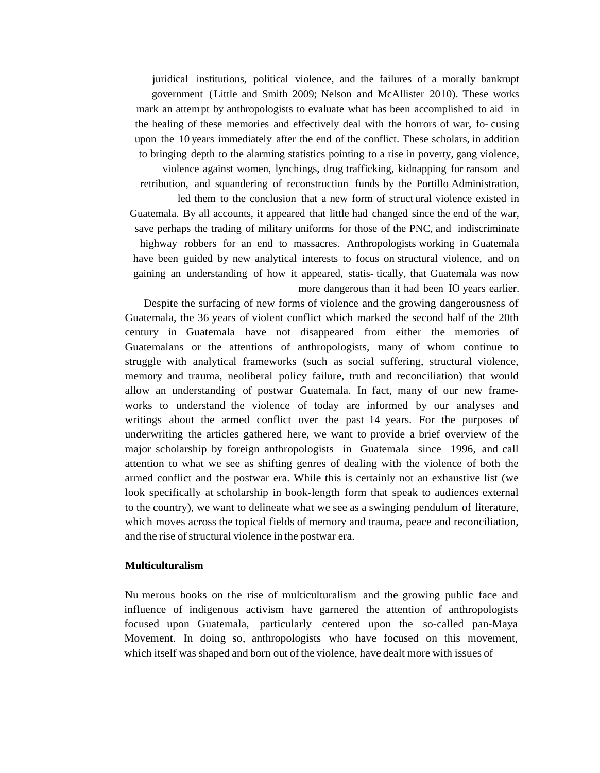juridical institutions, political violence, and the failures of a morally bankrupt government (Little and Smith 2009; Nelson and McAllister 2010). These works mark an attempt by anthropologists to evaluate what has been accomplished to aid in the healing of these memories and effectively deal with the horrors of war, fo- cusing upon the 10 years immediately after the end of the conflict. These scholars, in addition to bringing depth to the alarming statistics pointing to a rise in poverty, gang violence,

violence against women, lynchings, drug trafficking, kidnapping for ransom and retribution, and squandering of reconstruction funds by the Portillo Administration,

led them to the conclusion that a new form of struct ural violence existed in Guatemala. By all accounts, it appeared that little had changed since the end of the war, save perhaps the trading of military uniforms for those of the PNC, and indiscriminate highway robbers for an end to massacres. Anthropologists working in Guatemala have been guided by new analytical interests to focus on structural violence, and on gaining an understanding of how it appeared, statis- tically, that Guatemala was now more dangerous than it had been IO years earlier.

Despite the surfacing of new forms of violence and the growing dangerousness of Guatemala, the 36 years of violent conflict which marked the second half of the 20th century in Guatemala have not disappeared from either the memories of Guatemalans or the attentions of anthropologists, many of whom continue to struggle with analytical frameworks (such as social suffering, structural violence, memory and trauma, neoliberal policy failure, truth and reconciliation) that would allow an understanding of postwar Guatemala. In fact, many of our new frameworks to understand the violence of today are informed by our analyses and writings about the armed conflict over the past 14 years. For the purposes of underwriting the articles gathered here, we want to provide a brief overview of the major scholarship by foreign anthropologists in Guatemala since 1996, and call attention to what we see as shifting genres of dealing with the violence of both the armed conflict and the postwar era. While this is certainly not an exhaustive list (we look specifically at scholarship in book-length form that speak to audiences external to the country), we want to delineate what we see as a swinging pendulum of literature, which moves across the topical fields of memory and trauma, peace and reconciliation, and the rise of structural violence in the postwar era.

# **Multiculturalism**

Nu merous books on the rise of multiculturalism and the growing public face and influence of indigenous activism have garnered the attention of anthropologists focused upon Guatemala, particularly centered upon the so-called pan-Maya Movement. In doing so, anthropologists who have focused on this movement, which itself was shaped and born out of the violence, have dealt more with issues of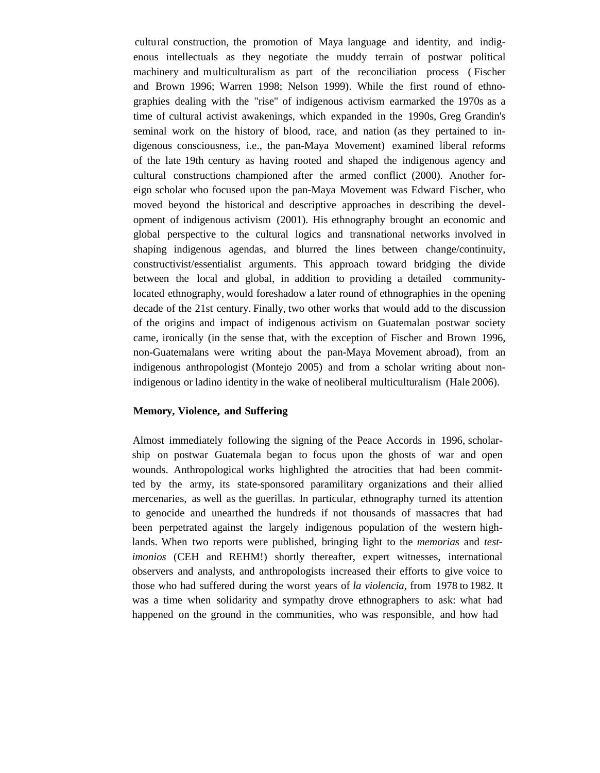cultural construction, the promotion of Maya language and identity, and indigenous intellectuals as they negotiate the muddy terrain of postwar political machinery and multiculturalism as part of the reconciliation process ( Fischer and Brown 1996; Warren 1998; Nelson 1999). While the first round of ethnographies dealing with the "rise" of indigenous activism earmarked the 1970s as a time of cultural activist awakenings, which expanded in the 1990s, Greg Grandin's seminal work on the history of blood, race, and nation (as they pertained to indigenous consciousness, i.e., the pan-Maya Movement) examined liberal reforms of the late 19th century as having rooted and shaped the indigenous agency and cultural constructions championed after the armed conflict (2000). Another foreign scholar who focused upon the pan-Maya Movement was Edward Fischer, who moved beyond the historical and descriptive approaches in describing the development of indigenous activism (2001). His ethnography brought an economic and global perspective to the cultural logics and transnational networks involved in shaping indigenous agendas, and blurred the lines between change/continuity, constructivist/essentialist arguments. This approach toward bridging the divide between the local and global, in addition to providing a detailed communitylocated ethnography, would foreshadow a later round of ethnographies in the opening decade of the 21st century. Finally, two other works that would add to the discussion of the origins and impact of indigenous activism on Guatemalan postwar society came, ironically (in the sense that, with the exception of Fischer and Brown 1996, non-Guatemalans were writing about the pan-Maya Movement abroad), from an indigenous anthropologist (Montejo 2005) and from a scholar writing about nonindigenous or ladino identity in the wake of neoliberal multiculturalism (Hale 2006).

# **Memory, Violence, and Suffering**

Almost immediately following the signing of the Peace Accords in 1996, scholarship on postwar Guatemala began to focus upon the ghosts of war and open wounds. Anthropological works highlighted the atrocities that had been committed by the army, its state-sponsored paramilitary organizations and their allied mercenaries, as well as the guerillas. In particular, ethnography turned its attention to genocide and unearthed the hundreds if not thousands of massacres that had been perpetrated against the largely indigenous population of the western highlands. When two reports were published, bringing light to the *memorias* and *testimonios* (CEH and REHM!) shortly thereafter, expert witnesses, international observers and analysts, and anthropologists increased their efforts to give voice to those who had suffered during the worst years of *la violencia,* from 1978 to 1982. It was a time when solidarity and sympathy drove ethnographers to ask: what had happened on the ground in the communities, who was responsible, and how had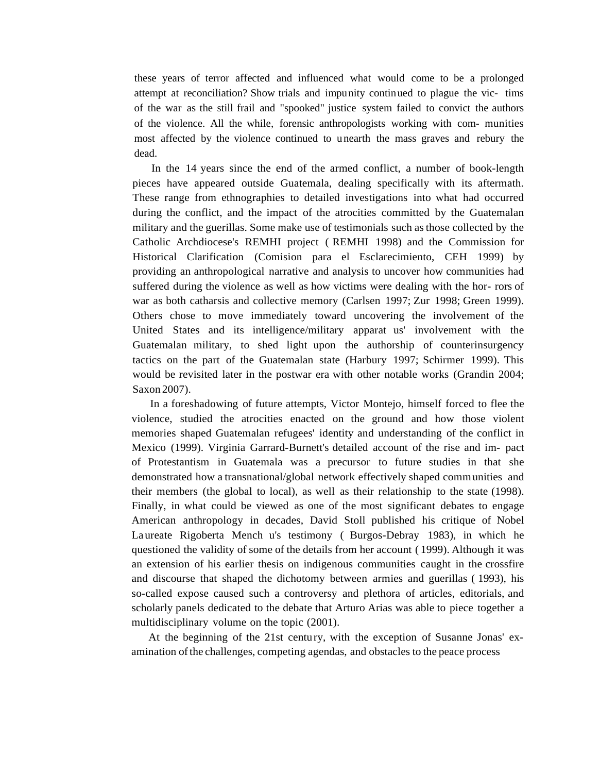these years of terror affected and influenced what would come to be a prolonged attempt at reconciliation? Show trials and impunity continued to plague the vic- tims of the war as the still frail and "spooked" justice system failed to convict the authors of the violence. All the while, forensic anthropologists working with com- munities most affected by the violence continued to unearth the mass graves and rebury the dead.

In the 14 years since the end of the armed conflict, a number of book-length pieces have appeared outside Guatemala, dealing specifically with its aftermath. These range from ethnographies to detailed investigations into what had occurred during the conflict, and the impact of the atrocities committed by the Guatemalan military and the guerillas. Some make use of testimonials such asthose collected by the Catholic Archdiocese's REMHI project ( REMHI 1998) and the Commission for Historical Clarification (Comision para el Esclarecimiento, CEH 1999) by providing an anthropological narrative and analysis to uncover how communities had suffered during the violence as well as how victims were dealing with the hor- rors of war as both catharsis and collective memory (Carlsen 1997; Zur 1998; Green 1999). Others chose to move immediately toward uncovering the involvement of the United States and its intelligence/military apparat us' involvement with the Guatemalan military, to shed light upon the authorship of counterinsurgency tactics on the part of the Guatemalan state (Harbury 1997; Schirmer 1999). This would be revisited later in the postwar era with other notable works (Grandin 2004; Saxon 2007).

In a foreshadowing of future attempts, Victor Montejo, himself forced to flee the violence, studied the atrocities enacted on the ground and how those violent memories shaped Guatemalan refugees' identity and understanding of the conflict in Mexico (1999). Virginia Garrard-Burnett's detailed account of the rise and im- pact of Protestantism in Guatemala was a precursor to future studies in that she demonstrated how a transnational/global network effectively shaped communities and their members (the global to local), as well as their relationship to the state (1998). Finally, in what could be viewed as one of the most significant debates to engage American anthropology in decades, David Stoll published his critique of Nobel La ureate Rigoberta Mench u's testimony ( Burgos-Debray 1983), in which he questioned the validity of some of the details from her account ( 1999). Although it was an extension of his earlier thesis on indigenous communities caught in the crossfire and discourse that shaped the dichotomy between armies and guerillas ( 1993), his so-called expose caused such a controversy and plethora of articles, editorials, and scholarly panels dedicated to the debate that Arturo Arias was able to piece together a multidisciplinary volume on the topic (2001).

At the beginning of the 21st century, with the exception of Susanne Jonas' examination ofthe challenges, competing agendas, and obstacles to the peace process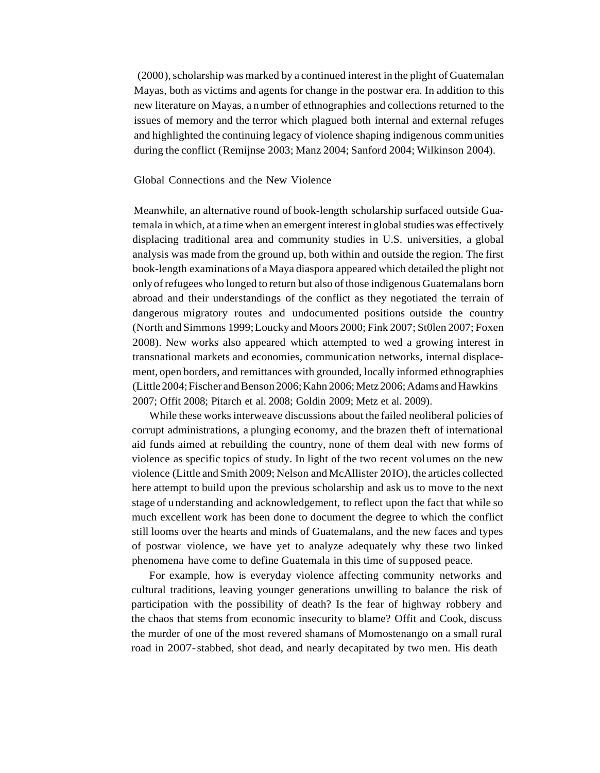$(2000)$ , scholarship was marked by a continued interest in the plight of Guatemalan Mayas, both as victims and agents for change in the postwar era. In addition to this new literature on Mayas, a number of ethnographies and collections returned to the issues of memory and the terror which plagued both internal and external refuges and highlighted the continuing legacy of violence shaping indigenous communities during the conflict (Remijnse 2003; Manz 2004; Sanford 2004; Wilkinson 2004).

# Global Connections and the New Violence

Meanwhile, an alternative round of book-length scholarship surfaced outside Guatemala in which, at a time when an emergent interest in global studies was effectively displacing traditional area and community studies in U.S. universities, a global analysis was made from the ground up, both within and outside the region. The first book-length examinations of aMaya diaspora appeared which detailed the plight not onlyofrefugees who longed to return but also ofthose indigenous Guatemalans born abroad and their understandings of the conflict as they negotiated the terrain of dangerous migratory routes and undocumented positions outside the country (North and Simmons 1999;Loucky and Moors 2000; Fink 2007; St0len 2007; Foxen 2008). New works also appeared which attempted to wed a growing interest in transnational markets and economies, communication networks, internal displacement, open borders, and remittances with grounded, locally informed ethnographies (Little 2004; Fischer and Benson 2006; Kahn 2006; Metz 2006; Adams and Hawkins 2007; Offit 2008; Pitarch et al. 2008; Goldin 2009; Metz et al. 2009).

While these works interweave discussions about the failed neoliberal policies of corrupt administrations, a plunging economy, and the brazen theft of international aid funds aimed at rebuilding the country, none of them deal with new forms of violence as specific topics of study. In light of the two recent volumes on the new violence (Little and Smith 2009; Nelson and McAllister 20IO), the articles collected here attempt to build upon the previous scholarship and ask us to move to the next stage of u nderstanding and acknowledgement, to reflect upon the fact that while so much excellent work has been done to document the degree to which the conflict still looms over the hearts and minds of Guatemalans, and the new faces and types of postwar violence, we have yet to analyze adequately why these two linked phenomena have come to define Guatemala in this time of supposed peace.

For example, how is everyday violence affecting community networks and cultural traditions, leaving younger generations unwilling to balance the risk of participation with the possibility of death? Is the fear of highway robbery and the chaos that stems from economic insecurity to blame? Offit and Cook, discuss the murder of one of the most revered shamans of Momostenango on a small rural road in 2007-stabbed, shot dead, and nearly decapitated by two men. His death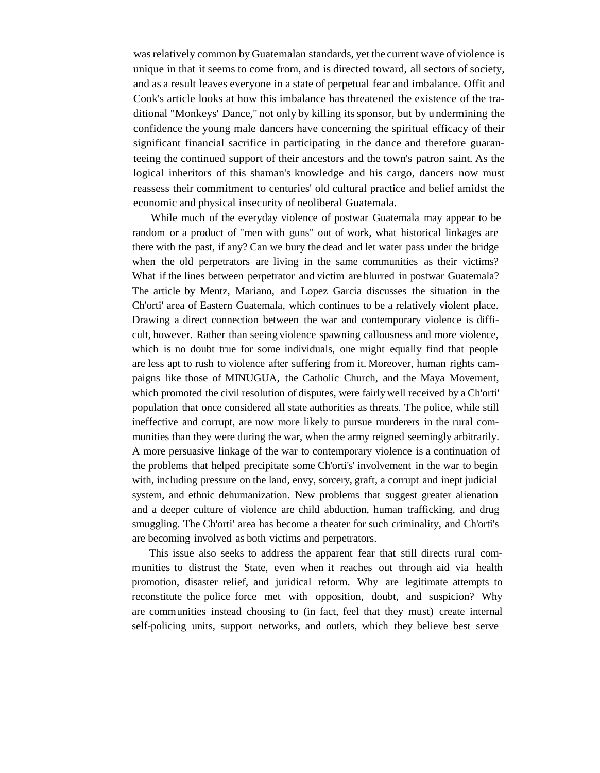wasrelatively common by Guatemalan standards, yet the current wave of violence is unique in that it seems to come from, and is directed toward, all sectors of society, and as a result leaves everyone in a state of perpetual fear and imbalance. Offit and Cook's article looks at how this imbalance has threatened the existence of the traditional "Monkeys' Dance," not only by killing its sponsor, but by u ndermining the confidence the young male dancers have concerning the spiritual efficacy of their significant financial sacrifice in participating in the dance and therefore guaranteeing the continued support of their ancestors and the town's patron saint. As the logical inheritors of this shaman's knowledge and his cargo, dancers now must reassess their commitment to centuries' old cultural practice and belief amidst the economic and physical insecurity of neoliberal Guatemala.

While much of the everyday violence of postwar Guatemala may appear to be random or a product of "men with guns" out of work, what historical linkages are there with the past, if any? Can we bury the dead and let water pass under the bridge when the old perpetrators are living in the same communities as their victims? What if the lines between perpetrator and victim are blurred in postwar Guatemala? The article by Mentz, Mariano, and Lopez Garcia discusses the situation in the Ch'orti' area of Eastern Guatemala, which continues to be a relatively violent place. Drawing a direct connection between the war and contemporary violence is difficult, however. Rather than seeing violence spawning callousness and more violence, which is no doubt true for some individuals, one might equally find that people are less apt to rush to violence after suffering from it. Moreover, human rights campaigns like those of MINUGUA, the Catholic Church, and the Maya Movement, which promoted the civil resolution of disputes, were fairly well received by a Ch'orti' population that once considered all state authorities as threats. The police, while still ineffective and corrupt, are now more likely to pursue murderers in the rural communities than they were during the war, when the army reigned seemingly arbitrarily. A more persuasive linkage of the war to contemporary violence is a continuation of the problems that helped precipitate some Ch'orti's' involvement in the war to begin with, including pressure on the land, envy, sorcery, graft, a corrupt and inept judicial system, and ethnic dehumanization. New problems that suggest greater alienation and a deeper culture of violence are child abduction, human trafficking, and drug smuggling. The Ch'orti' area has become a theater for such criminality, and Ch'orti's are becoming involved as both victims and perpetrators.

This issue also seeks to address the apparent fear that still directs rural communities to distrust the State, even when it reaches out through aid via health promotion, disaster relief, and juridical reform. Why are legitimate attempts to reconstitute the police force met with opposition, doubt, and suspicion? Why are communities instead choosing to (in fact, feel that they must) create internal self-policing units, support networks, and outlets, which they believe best serve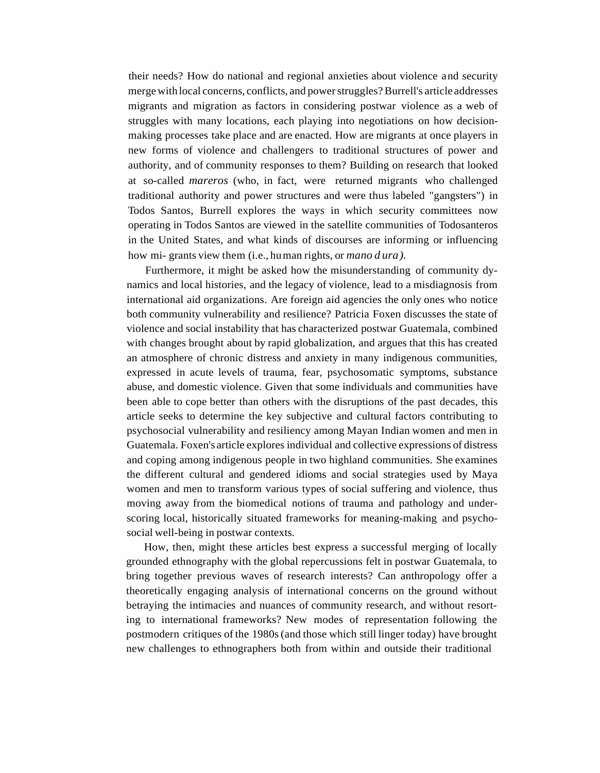their needs? How do national and regional anxieties about violence and security mergewithlocal concerns, conflicts, and powerstruggles?Burrell's article addresses migrants and migration as factors in considering postwar violence as a web of struggles with many locations, each playing into negotiations on how decisionmaking processes take place and are enacted. How are migrants at once players in new forms of violence and challengers to traditional structures of power and authority, and of community responses to them? Building on research that looked at so-called *mareros* (who, in fact, were returned migrants who challenged traditional authority and power structures and were thus labeled "gangsters") in Todos Santos, Burrell explores the ways in which security committees now operating in Todos Santos are viewed in the satellite communities of Todosanteros in the United States, and what kinds of discourses are informing or influencing how mi- grants view them (i.e., human rights, or *mano d ura).*

Furthermore, it might be asked how the misunderstanding of community dynamics and local histories, and the legacy of violence, lead to a misdiagnosis from international aid organizations. Are foreign aid agencies the only ones who notice both community vulnerability and resilience? Patricia Foxen discusses the state of violence and social instability that has characterized postwar Guatemala, combined with changes brought about by rapid globalization, and argues that this has created an atmosphere of chronic distress and anxiety in many indigenous communities, expressed in acute levels of trauma, fear, psychosomatic symptoms, substance abuse, and domestic violence. Given that some individuals and communities have been able to cope better than others with the disruptions of the past decades, this article seeks to determine the key subjective and cultural factors contributing to psychosocial vulnerability and resiliency among Mayan Indian women and men in Guatemala. Foxen's article explores individual and collective expressions of distress and coping among indigenous people in two highland communities. She examines the different cultural and gendered idioms and social strategies used by Maya women and men to transform various types of social suffering and violence, thus moving away from the biomedical notions of trauma and pathology and underscoring local, historically situated frameworks for meaning-making and psychosocial well-being in postwar contexts.

How, then, might these articles best express a successful merging of locally grounded ethnography with the global repercussions felt in postwar Guatemala, to bring together previous waves of research interests? Can anthropology offer a theoretically engaging analysis of international concerns on the ground without betraying the intimacies and nuances of community research, and without resorting to international frameworks? New modes of representation following the postmodern critiques of the 1980s(and those which still linger today) have brought new challenges to ethnographers both from within and outside their traditional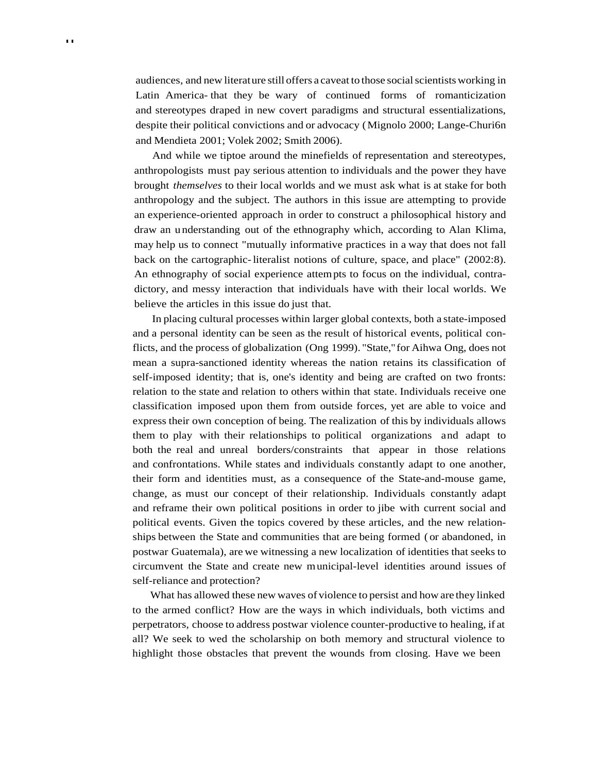audiences, and new literature still offers a caveat to those socialscientistsworking in Latin America- that they be wary of continued forms of romanticization and stereotypes draped in new covert paradigms and structural essentializations, despite their political convictions and or advocacy (Mignolo 2000; Lange-Churi6n and Mendieta 2001; Volek 2002; Smith 2006).

And while we tiptoe around the minefields of representation and stereotypes, anthropologists must pay serious attention to individuals and the power they have brought *themselves* to their local worlds and we must ask what is at stake for both anthropology and the subject. The authors in this issue are attempting to provide an experience-oriented approach in order to construct a philosophical history and draw an u nderstanding out of the ethnography which, according to Alan Klima, may help us to connect "mutually informative practices in a way that does not fall back on the cartographic-literalist notions of culture, space, and place" (2002:8). An ethnography of social experience attempts to focus on the individual, contradictory, and messy interaction that individuals have with their local worlds. We believe the articles in this issue do just that.

In placing cultural processes within larger global contexts, both a state-imposed and a personal identity can be seen as the result of historical events, political conflicts, and the process of globalization (Ong 1999). "State,"for Aihwa Ong, does not mean a supra-sanctioned identity whereas the nation retains its classification of self-imposed identity; that is, one's identity and being are crafted on two fronts: relation to the state and relation to others within that state. Individuals receive one classification imposed upon them from outside forces, yet are able to voice and express their own conception of being. The realization of this by individuals allows them to play with their relationships to political organizations and adapt to both the real and unreal borders/constraints that appear in those relations and confrontations. While states and individuals constantly adapt to one another, their form and identities must, as a consequence of the State-and-mouse game, change, as must our concept of their relationship. Individuals constantly adapt and reframe their own political positions in order to jibe with current social and political events. Given the topics covered by these articles, and the new relationships between the State and communities that are being formed ( or abandoned, in postwar Guatemala), are we witnessing a new localization of identities that seeks to circumvent the State and create new municipal-level identities around issues of self-reliance and protection?

What has allowed these new waves of violence to persist and how are they linked to the armed conflict? How are the ways in which individuals, both victims and perpetrators, choose to address postwar violence counter-productive to healing, if at all? We seek to wed the scholarship on both memory and structural violence to highlight those obstacles that prevent the wounds from closing. Have we been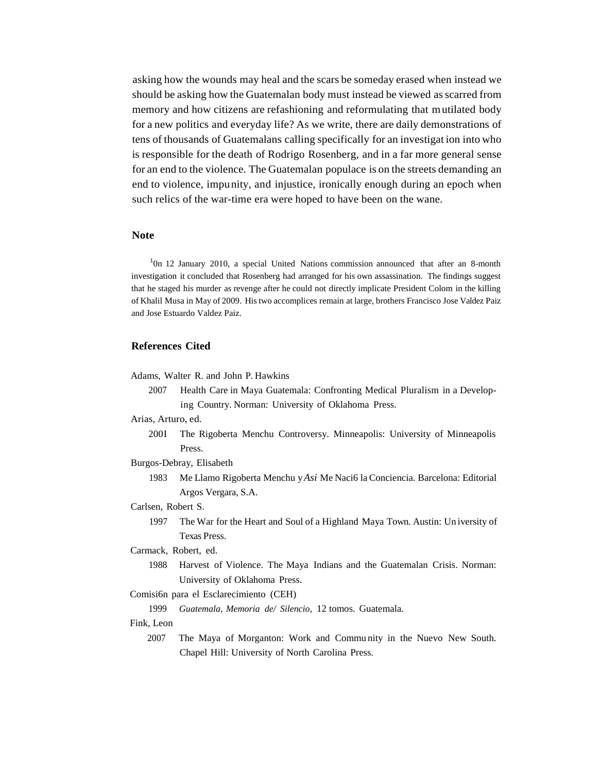asking how the wounds may heal and the scars be someday erased when instead we should be asking how the Guatemalan body must instead be viewed asscarred from memory and how citizens are refashioning and reformulating that mutilated body for a new politics and everyday life? As we write, there are daily demonstrations of tens of thousands of Guatemalans calling specifically for an investigat ion into who is responsible for the death of Rodrigo Rosenberg, and in a far more general sense for an end to the violence. The Guatemalan populace is on the streets demanding an end to violence, impunity, and injustice, ironically enough during an epoch when such relics of the war-time era were hoped to have been on the wane.

# **Note**

<sup>1</sup>0n 12 January 2010, a special United Nations commission announced that after an 8-month investigation it concluded that Rosenberg had arranged for his own assassination. The findings suggest that he staged his murder as revenge after he could not directly implicate President Colom in the killing of Khalil Musa in May of 2009. His two accomplices remain at large, brothers Francisco Jose Valdez Paiz and Jose Estuardo Valdez Paiz.

# **References Cited**

Adams, Walter R. and John P. Hawkins

2007 Health Care in Maya Guatemala: Confronting Medical Pluralism in a Developing Country. Norman: University of Oklahoma Press.

# Arias, Arturo, ed.

- 200I The Rigoberta Menchu Controversy. Minneapolis: University of Minneapolis Press.
- Burgos-Debray, Elisabeth
	- 1983 Me Llamo Rigoberta Menchu y*Asi* Me Naci6 la Conciencia. Barcelona: Editorial Argos Vergara, S.A.

#### Carlsen, Robert S.

- 1997 The War for the Heart and Soul of a Highland Maya Town. Austin: Un iversity of Texas Press.
- Carmack, Robert, ed.
	- 1988 Harvest of Violence. The Maya Indians and the Guatemalan Crisis. Norman: University of Oklahoma Press.

Comisi6n para el Esclarecimiento (CEH)

1999 *Guatemala, Memoria de/ Silencio,* 12 tomos. Guatemala.

# Fink, Leon

2007 The Maya of Morganton: Work and Commu nity in the Nuevo New South. Chapel Hill: University of North Carolina Press.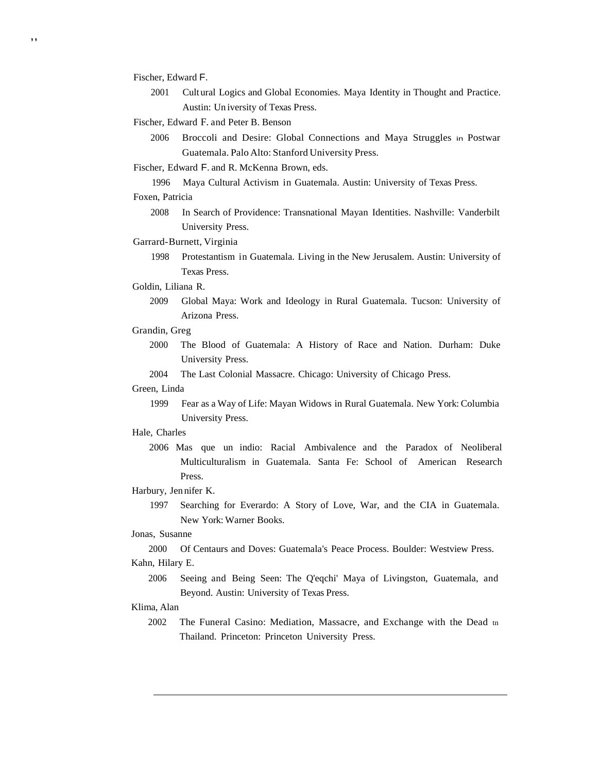Fischer, Edward F.

- 2001 Cult ural Logics and Global Economies. Maya Identity in Thought and Practice. Austin: Un iversity of Texas Press.
- Fischer, Edward F. and Peter B. Benson
	- 2006 Broccoli and Desire: Global Connections and Maya Struggles in Postwar Guatemala. Palo Alto: Stanford University Press.
- Fischer, Edward F. and R. McKenna Brown, eds.
	- 1996 Maya Cultural Activism in Guatemala. Austin: University of Texas Press.

#### Foxen, Patricia

- 2008 In Search of Providence: Transnational Mayan Identities. Nashville: Vanderbilt University Press.
- Garrard-Burnett, Virginia
	- 1998 Protestantism in Guatemala. Living in the New Jerusalem. Austin: University of Texas Press.

#### Goldin, Liliana R.

2009 Global Maya: Work and Ideology in Rural Guatemala. Tucson: University of Arizona Press.

#### Grandin, Greg

- 2000 The Blood of Guatemala: A History of Race and Nation. Durham: Duke University Press.
- 2004 The Last Colonial Massacre. Chicago: University of Chicago Press.

# Green, Linda

1999 Fear as a Way of Life: Mayan Widows in Rural Guatemala. New York: Columbia University Press.

# Hale, Charles

2006 Mas que un indio: Racial Ambivalence and the Paradox of Neoliberal Multiculturalism in Guatemala. Santa Fe: School of American Research Press.

#### Harbury, Jen nifer K.

1997 Searching for Everardo: A Story of Love, War, and the CIA in Guatemala. New York: Warner Books.

# Jonas, Susanne

- 2000 Of Centaurs and Doves: Guatemala's Peace Process. Boulder: Westview Press. Kahn, Hilary E.
	- 2006 Seeing and Being Seen: The Q'eqchi' Maya of Livingston, Guatemala, and Beyond. Austin: University of Texas Press.

# Klima, Alan

2002 The Funeral Casino: Mediation, Massacre, and Exchange with the Dead tn Thailand. Princeton: Princeton University Press.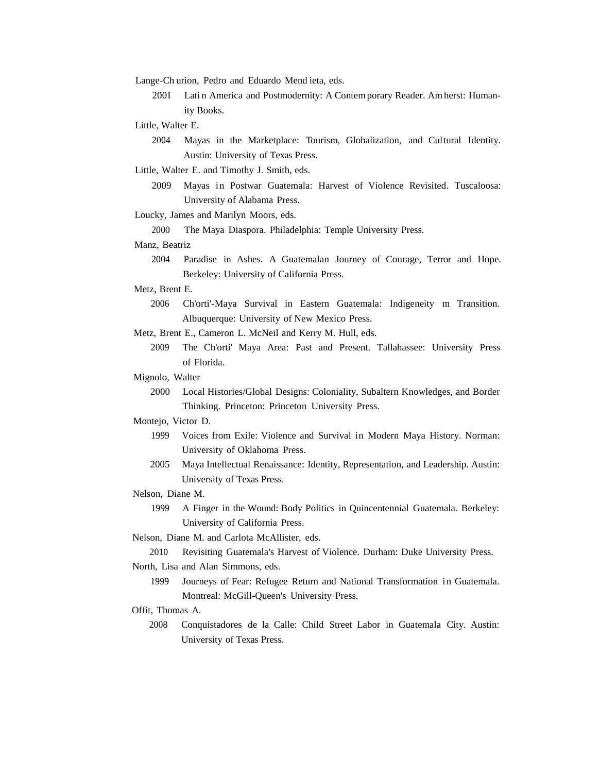Lange-Ch urion, Pedro and Eduardo Mend ieta, eds.

- 200I Lati n America and Postmodernity: A Contemporary Reader. Am herst: Humanity Books.
- Little, Walter E.
	- 2004 Mayas in the Marketplace: Tourism, Globalization, and Cultural Identity. Austin: University of Texas Press.
- Little, Walter E. and Timothy J. Smith, eds.
	- 2009 Mayas in Postwar Guatemala: Harvest of Violence Revisited. Tuscaloosa: University of Alabama Press.

Loucky, James and Marilyn Moors, eds.

2000 The Maya Diaspora. Philadelphia: Temple University Press.

- Manz, Beatriz
	- 2004 Paradise in Ashes. A Guatemalan Journey of Courage, Terror and Hope. Berkeley: University of California Press.
- Metz, Brent E.
	- 2006 Ch'orti'-Maya Survival in Eastern Guatemala: Indigeneity m Transition. Albuquerque: University of New Mexico Press.

Metz, Brent E., Cameron L. McNeil and Kerry M. Hull, eds.

2009 The Ch'orti' Maya Area: Past and Present. Tallahassee: University Press of Florida.

#### Mignolo, Walter

2000 Local Histories/Global Designs: Coloniality, Subaltern Knowledges, and Border Thinking. Princeton: Princeton University Press.

#### Montejo, Victor D.

- 1999 Voices from Exile: Violence and Survival in Modern Maya History. Norman: University of Oklahoma Press.
- 2005 Maya Intellectual Renaissance: Identity, Representation, and Leadership. Austin: University of Texas Press.

#### Nelson, Diane M.

1999 A Finger in the Wound: Body Politics in Quincentennial Guatemala. Berkeley: University of California Press.

Nelson, Diane M. and Carlota McAllister, eds.

2010 Revisiting Guatemala's Harvest of Violence. Durham: Duke University Press.

North, Lisa and Alan Simmons, eds.

- 1999 Journeys of Fear: Refugee Return and National Transformation in Guatemala. Montreal: McGill-Queen's University Press.
- Offit, Thomas A.
	- 2008 Conquistadores de la Calle: Child Street Labor in Guatemala City. Austin: University of Texas Press.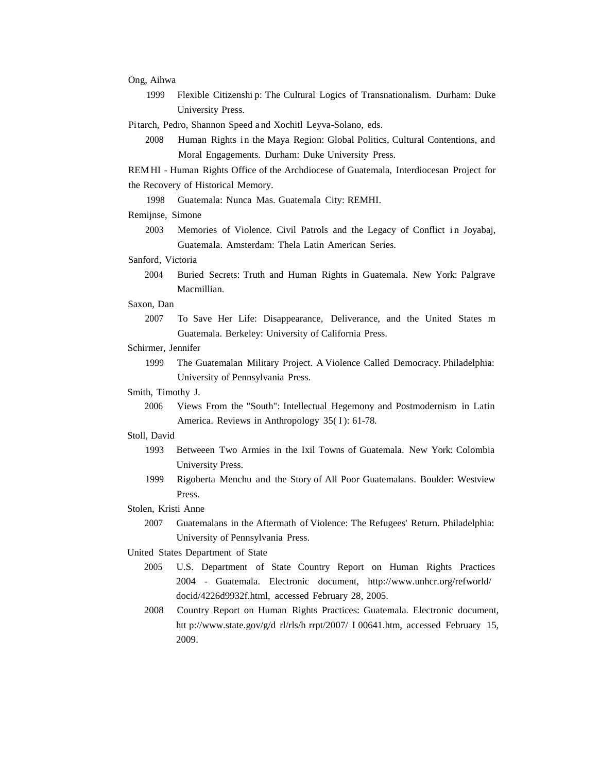Ong, Aihwa

- 1999 Flexible Citizenshi p: The Cultural Logics of Transnationalism. Durham: Duke University Press.
- Pitarch, Pedro, Shannon Speed a nd Xochitl Leyva-Solano, eds.
	- 2008 Human Rights in the Maya Region: Global Politics, Cultural Contentions, and Moral Engagements. Durham: Duke University Press.

REMHI - Human Rights Office of the Archdiocese of Guatemala, Interdiocesan Project for the Recovery of Historical Memory.

1998 Guatemala: Nunca Mas. Guatemala City: REMHI.

#### Remijnse, Simone

2003 Memories of Violence. Civil Patrols and the Legacy of Conflict in Joyabaj, Guatemala. Amsterdam: Thela Latin American Series.

#### Sanford, Victoria

2004 Buried Secrets: Truth and Human Rights in Guatemala. New York: Palgrave Macmillian.

# Saxon, Dan

2007 To Save Her Life: Disappearance, Deliverance, and the United States m Guatemala. Berkeley: University of California Press.

#### Schirmer, Jennifer

1999 The Guatemalan Military Project. A Violence Called Democracy. Philadelphia: University of Pennsylvania Press.

# Smith, Timothy J.

2006 Views From the "South": Intellectual Hegemony and Postmodernism in Latin America. Reviews in Anthropology 35(I): 61-78.

#### Stoll, David

- 1993 Betweeen Two Armies in the Ixil Towns of Guatemala. New York: Colombia University Press.
- 1999 Rigoberta Menchu and the Story of All Poor Guatemalans. Boulder: Westview Press.

# Stolen, Kristi Anne

2007 Guatemalans in the Aftermath of Violence: The Refugees' Return. Philadelphia: University of Pennsylvania Press.

#### United States Department of State

- 2005 U.S. Department of State Country Report on Human Rights Practices 2004 - Guatemala. Electronic document, <http://www.unhcr.org/refworld/> docid/4226d9932f.html, accessed February 28, 2005.
- 2008 Country Report on Human Rights Practices: Guatemala. Electronic document, htt [p://www.state.gov/g/d](http://www.state.gov/g/d) rl/rls/h rrpt/2007/ I 00641.htm, accessed February 15, 2009.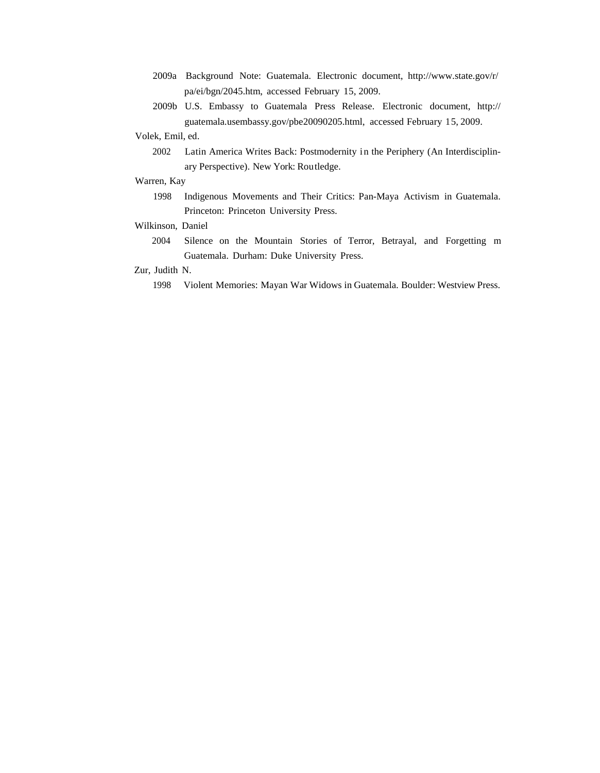- 2009a Background Note: Guatemala. Electronic document, <http://www.state.gov/r/> pa/ei/bgn/2045.htm, accessed February 15, 2009.
- 2009b U.S. Embassy to Guatemala Press Release. Electronic document, http:// guatemala.usembassy.gov/pbe20090205.html, accessed February 15, 2009.

# Volek, Emil, ed.

2002 Latin America Writes Back: Postmodernity in the Periphery (An Interdisciplinary Perspective). New York: Routledge.

# Warren, Kay

1998 Indigenous Movements and Their Critics: Pan-Maya Activism in Guatemala. Princeton: Princeton University Press.

# Wilkinson, Daniel

2004 Silence on the Mountain Stories of Terror, Betrayal, and Forgetting m Guatemala. Durham: Duke University Press.

# Zur, Judith N.

1998 Violent Memories: Mayan War Widows in Guatemala. Boulder: Westview Press.